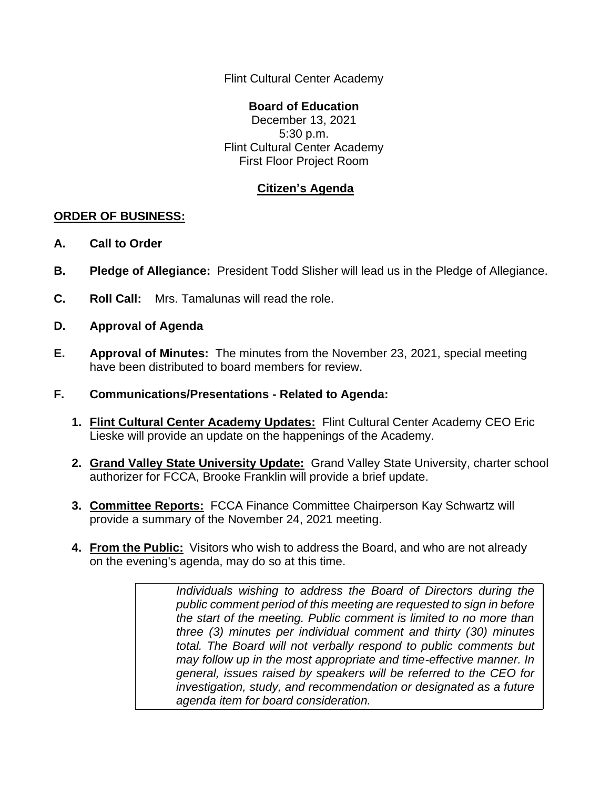Flint Cultural Center Academy

## **Board of Education**

December 13, 2021 5:30 p.m. Flint Cultural Center Academy First Floor Project Room

## **Citizen's Agenda**

## **ORDER OF BUSINESS:**

- **A. Call to Order**
- **B. Pledge of Allegiance:** President Todd Slisher will lead us in the Pledge of Allegiance.
- **C. Roll Call:** Mrs. Tamalunas will read the role.
- **D. Approval of Agenda**
- **E. Approval of Minutes:** The minutes from the November 23, 2021, special meeting have been distributed to board members for review.
- **F. Communications/Presentations - Related to Agenda:**
	- **1. Flint Cultural Center Academy Updates:** Flint Cultural Center Academy CEO Eric Lieske will provide an update on the happenings of the Academy.
	- **2. Grand Valley State University Update:** Grand Valley State University, charter school authorizer for FCCA, Brooke Franklin will provide a brief update.
	- **3. Committee Reports:** FCCA Finance Committee Chairperson Kay Schwartz will provide a summary of the November 24, 2021 meeting.
	- **4. From the Public:** Visitors who wish to address the Board, and who are not already on the evening's agenda, may do so at this time.

*Individuals wishing to address the Board of Directors during the public comment period of this meeting are requested to sign in before the start of the meeting. Public comment is limited to no more than three (3) minutes per individual comment and thirty (30) minutes total. The Board will not verbally respond to public comments but may follow up in the most appropriate and time-effective manner. In general, issues raised by speakers will be referred to the CEO for investigation, study, and recommendation or designated as a future agenda item for board consideration.*